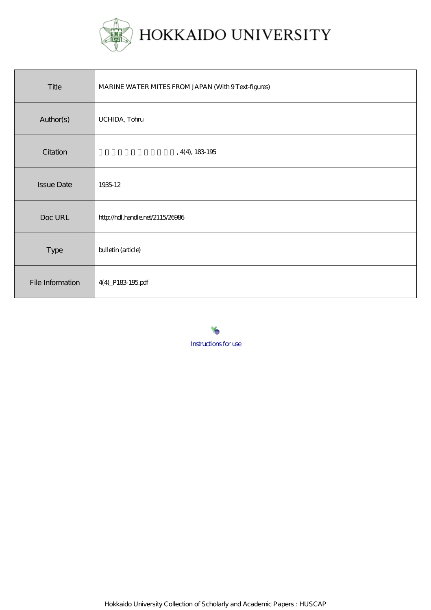

| Title             | MARINE WATER MITES FROM JAPAN (With 9 Text-figures) |
|-------------------|-----------------------------------------------------|
| Author(s)         | UCHIDA, Tohu                                        |
| Citation          | , 4(4), 183195                                      |
| <b>Issue Date</b> | 1935-12                                             |
| Doc URL           | http://hdl.handle.net/2115/26986                    |
| Type              | bulletin (article)                                  |
| File Information  | 4(4) P183 195 pdf                                   |

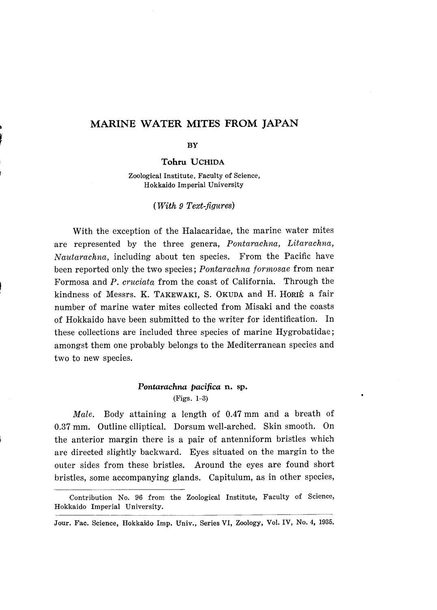# **MARINE WATER MITES FROM JAPAN**

## BY

### **Tohru** UCHIDA

Zoological Institute. Faculty of Science, Hokkaido Imperial University

#### *(With* 9 *Text-figures)*

With the exception of the Halacaridae, the marine water mites are represented by the three genera, Pontarachna, Litarachna, *Nautarachna,* including about ten species. From the Pacific have been reported only the two species; *Pontarachna formosae* from near Formosa and *P. cruciata* from the coast of California. Through the kindness of Messrs. K. TAKEWAKI, S. OKUDA and H. HORIE a fair number of marine water mites collected from Misaki and the coasts of Hokkaido have been submitted to the writer for identification. In these collections are included three species of marine Hygrobatidae; amongst them one probably belongs to the Mediterranean species and two to new species.

## *Pontarachna pacifica* n. sp. (Figs. 1-3)

*Male.* Body attaining a length of 0.47 mm and a breath of 0.37 mm. Outline elliptical. Dorsum well-arched. Skin smooth. On the anterior margin there is a pair of antenniform bristles which are directed slightly backward. Eyes situated on the margin to the outer sides from these bristles. Around the eyes are found short bristles, some accompanying glands. Capitulum, as in other species,

Contribution No. 96 from the Zoological Institute, Faculty of Science, Hokkaido Imperial University.

Jour. Fac. Science, Hokkaido Imp. Univ., Series VI, Zoology, Vol. IV, No.4, 1935.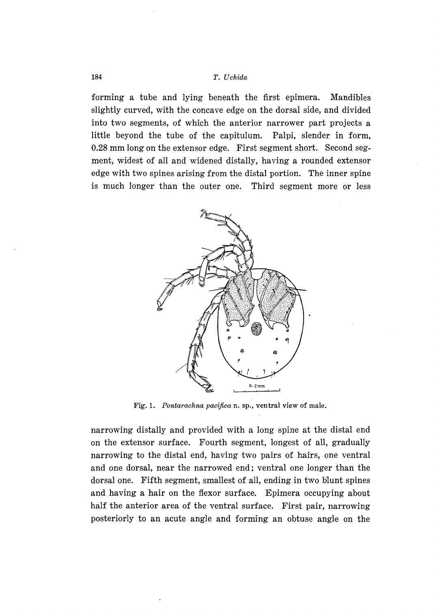forming a tube and lying beneath the first epimera. Mandibles slightly curved, with the concave edge on the dorsal side, and divided into two segments, of which the anterior narrower part projects a little beyond the tube of the capitulum. Palpi, slender in form, 0.28 mm long on the extensor edge. First segment short. Second segment, widest of all and widened distally, having a rounded extensor edge with two spines arising from the distal portion. The inner spine is much longer than the outer one. Third segment more or less



Fig.1. *Pontarachna pacifica* n. sp., ventral view of male.

narrowing distally and provided with a long spine at the distal end on the extensor surface. Fourth segment, longest of all, gradually narrowing to the distal end, having two pairs of hairs, one ventral and one dorsal, near the narrowed end; ventral one longer than the dorsal one. Fifth segment, smallest of all, ending in two blunt spines and having a hair on the flexor surface. Epimera occupying about half the anterior area of the ventral surface. First pair, narrowing posteriorly to an acute angle and forming an obtuse angle on the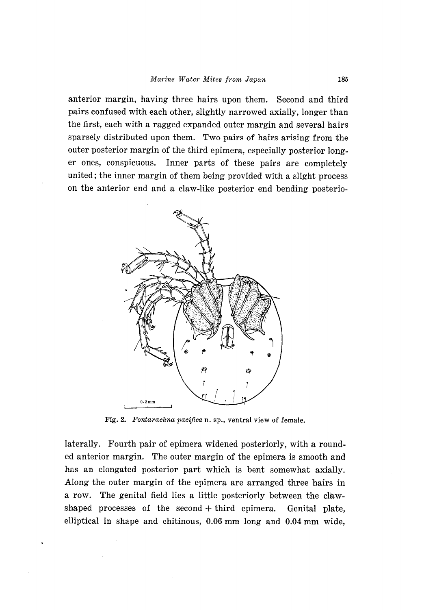anterior margin, having three hairs upon them. Second and third pairs confused with each other, slightly narrowed axially, longer than the first, each with a ragged expanded outer margin and several hairs sparsely distributed upon them. Two pairs of hairs arising from the outer posterior margin of the third epimera, especially posterior longer ones, conspicuous. Inner parts of these pairs are completely united; the inner margin of them being provided with a slight process on the anterior end and a claw-like posterior end bending posterio-



Fig. 2. *Pontarachna pacifica* n. sp., ventral view of female.

laterally. Fourth pair of epimera widened posteriorly, with a rounded anterior margin. The outer margin of the epimera is smooth and has an elongated posterior part which is bent somewhat axially. Along the outer margin of the epimera are arranged three hairs in a row. The genital field lies a little posteriorly between the clawshaped processes of the second  $+$  third epimera. Genital plate, elliptical in shape and chitinous, 0.06 mm long and 0.04 mm wide,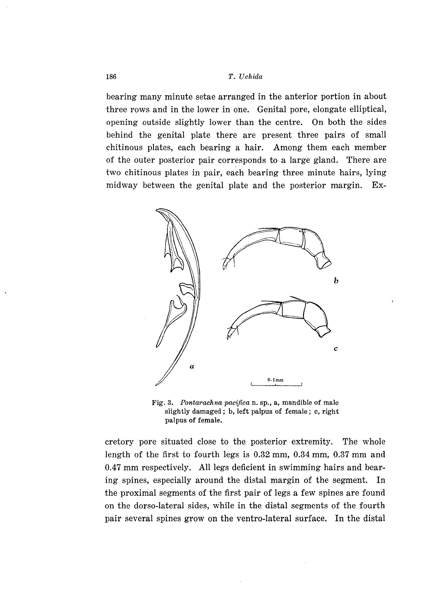bearing many minute setae arranged in the anterior portion in about three rows and in the lower in one. Genital pore, elongate elliptical, opening outside slightly lower than the centre. On both the sides behind the genital plate there are present three pairs of small chitinous plates, each bearing a hair. Among them each member of the outer posterior pair corresponds to a large gland. There are two chitinous plates in pair, each bearing three minute hairs, lying midway between the genital plate and the posterior margin. Ex-



Fig. 3. *Pontarachna pacifica* n. sp., a, mandible of male slightly damaged; b, left palpus of female; c, right paJpus of female.

cretory pore situated close to the posterior extremity. The whole length of the first to fourth legs is 0.32 mm, 0.34 mm, 0.37 mm and 0.47 mm respectively. All legs deficient in swimming hairs and bearing spines, especially around the distal margin of the segment. **In**  the proximal segments of the first pair of legs a few spines are found on the dorso-Iateral sides, while in the distal segments of the fourth pair several spines grow on the ventro-Iateral surface. **In** the distal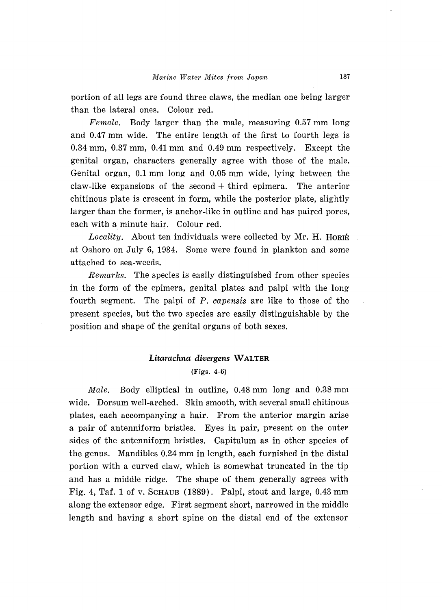portion of all legs are found three claws, the median one being larger than the lateral ones. Colour red.

*Female.* Body larger than the male, measuring 0.57 mm long and 0.47 mm wide. The entire length of the first to fourth legs is 0.34 mm, 0.37 mm, 0.41 mm and 0.49 mm respectively. Except the genital organ, characters generally agree with those of the male. Genital organ, 0.1 mm long and 0.05 mm wide, lying between the claw-like expansions of the second  $+$  third epimera. The anterior chitinous plate is crescent in form, while the posterior plate, slightly larger than the former, is anchor-like in outline and has paired pores, each with a minute hair. Colour red.

Locality. About ten individuals were collected by Mr. H. HORIE at Oshoro on July 6, 1934. Some were found in plankton and some attached to sea-weeds.

*Remarks.* The species is easily distinguished from other species in the form of the epimera, genital plates and palpi with the long fourth segment. The palpi of *P. capensis* are like to those of the present species, but the two species are easily distinguishable by the position and shape of the genital organs of both sexes.

# *Litarachna divergens* **WALTER**  (Figs. 4-6)

*Male.* Body elliptical in outline, 0.48 mm long and 0.38 mm wide. Dorsum well-arched. Skin smooth, with several small chitinous plates, each accompanying a hair. From the anterior margin arise a pair of antenniform bristles. Eyes in pair, present on the outer sides of the antenniform bristles. Capitulum as in other species of the genus. Mandibles 0.24 mm in length, each furnished in the distal portion with a curved claw, which is somewhat truncated in the tip and has a middle ridge. The shape of them generally agrees with Fig. 4, Taf. 1 of v. SCHAUB (1889). Palpi, stout and large, 0.43 mm along the extensor edge. First segment short, narrowed in the middle length and having a short spine on the distal end of the extensor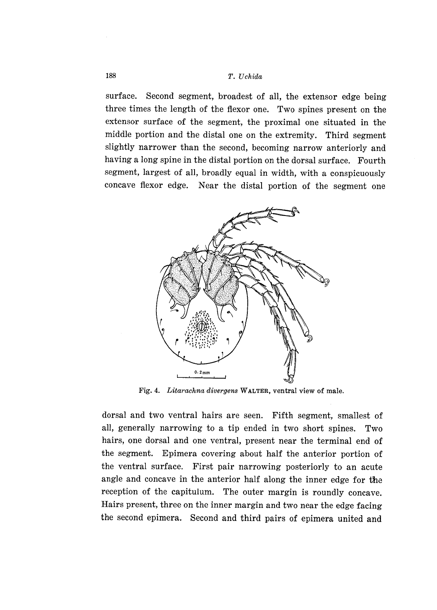surface. Second segment, broadest of all, the extensor edge being three times the length of the flexor one. Two spines present on the extensor surface of the segment, the proximal one situated in the middle portion and the distal one on the extremity. Third segment slightly narrower than the second, becoming narrow anteriorly and having a long spine in the distal portion on the dorsal surface. Fourth segment, largest of all, broadly equal in width, with a conspicuously concave flexor edge. Near the distal portion of the segment one



Fig. 4. *Litarachna divergens* WALTER, ventral view of male.

dorsal and two ventral hairs are seen. Fifth segment, smallest of all, generally narrowing to a tip ended in two short spines. Two hairs, one dorsal and one ventral, present near the terminal end of the segment. Epimera covering about half the anterior portion of the ventral surface. First pair narrowing posteriorly to an acute angle and concave in the anterior half along the inner edge for the reception of the capitulum. The outer margin is roundly concave. Hairs present, three on the inner margin and two near the edge facing the second epimera. Second and third pairs of epimera united and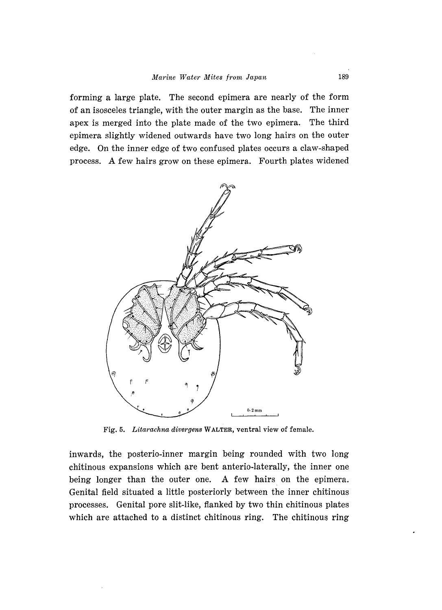forming a large plate. The second epimera are nearly of the form of an isosceles triangle, with the outer margin as the base. The inner apex is merged into the plate made of the two epimera. The third epimera slightly widened outwards have two long hairs on the outer edge. On the inner edge of two confused plates occurs a claw-shaped process. A few hairs grow on these epimera. Fourth plates widened



Fig. 5. *Litarachna divergens* WALTER, ventral view of female.

inwards, the posterio-inner margin being rounded with two long chitinous expansions which are bent anterio-laterally, the inner one being longer than the outer one. A few hairs on the epimera. Genital field situated a little posteriorly between the inner chitinous processes. Genital pore slit-like, flanked by two thin chitinous plates which are attached to a distinct chitinous ring. The chitinous ring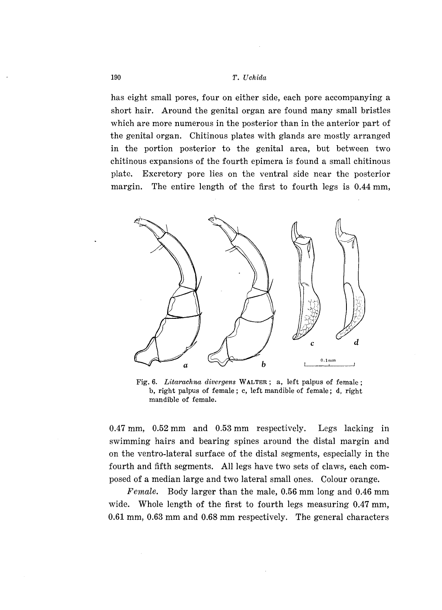has eight small pores, four on either side, each pore accompanying a short hair. Around the genital organ are found many small bristles which are more numerous in the posterior than in the anterior part of the genital organ. Chitinous plates with glands are mostly arranged in the portion posterior to the genital area, but between two chitinous expansions of the fourth epimera is found a small chitinous plate. Excretory pore lies on the ventral side near the posterior margin. The entire length of the first to fourth legs is 0.44 mm,



Fig. 6. *Litarachna divergens* WALTER; a, left palpus of female; b, right palpus of female; c, left mandible of female; d, right mandible of female.

0.47 mm, 0.52 mm and 0.53 mm respectively. Legs lacking in swimming hairs and bearing spines around the distal margin and on the ventro-Iateral surface of the distal segments, especially in the fourth and fifth segments. All legs have two sets of claws, each composed of a median large and two lateral small ones. Colour orange.

*Female.* Body larger than the male, 0.56 mm long and 0.46 mm wide. Whole length of the first to fourth legs measuring 0.47 mm, 0.61 mm, 0.63 mm and 0.68 mm respectively. The general characters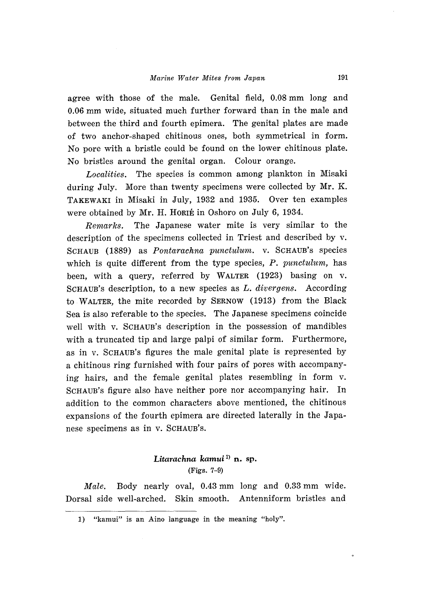agree with those of the male. Genital field, 0.08 mm long and 0.06 mm wide, situated much further forward than in the male and between the third and fourth epimera. The genital plates are made of two anchor-shaped chitinous ones, both symmetrical in form. No pore with a bristle could be found on the lower chitinous plate. No bristles around the genital organ. Colour orange.

*Localities.* The species is common among plankton in Misaki during July. More than twenty specimens were collected by Mr. K. TAKEWAKI in Misaki in July, 1932 and 1935. Over ten examples were obtained by Mr. H. HORIÉ in Oshoro on July 6, 1934.

*Remarks.* The Japanese water mite is very similar to the description of the specimens collected in Triest and described by v. SCHAUB (1889) as *Pontarachna punctulum.* v. SCHAUB's species which is quite different from the type species, *P. punctulum,* has been, with a query, referred by WALTER (1923) basing on v. SCHAUB'S description, to a new species as *L. divergens.* According to WALTER, the mite recorded by SERNOW (1913) from the Black Sea is also referable to the species. The Japanese specimens coincide well with v. SCHAUB'S description in the possession of mandibles with a truncated tip and large palpi of similar form. Furthermore, as in v. SCHAUB'S figures the male genital plate is represented by a chitinous ring furnished with four pairs of pores with accompanying hairs, and the female genital plates resembling in form v. SCHAUB'S figure also have neither pore nor accompanying hair. In addition to the common characters above mentioned, the chitinous expansions of the fourth epimera are directed laterally in the Japanese specimens as in v. SCHAUB'S.

# *Litarachna kamui* 1) n. sp. (Figs. 7-9)

*Male.* Body nearly oval, 0.43 mm long and 0.33 mm wide. Dorsal side well-arched. Skin smooth. Antenniform bristles and

<sup>1) &</sup>quot;kamui" is an Aino language in the meaning "holy".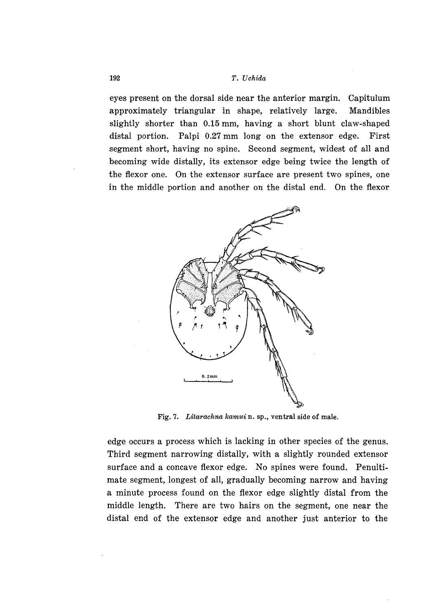eyes present on the dorsal side near the anterior margin. Capitulum approximately triangular in shape, relatively large. Mandibles slightly shorter than 0.15 mm, having a short blunt claw-shaped distal portion. Palpi 0.27 mm long on the extensor edge. First segment short, having no spine. Second segment, widest of all and becoming wide distally, its extensor edge being twice the length of the flexor one. On the extensor surface are present two spines, one in the middle portion and another on the distal end. On the flexor



Fig. 7. *Litarachna kamui* n. sp., ventral side of male.

edge occurs a process which is lacking in other species of the genus. Third segment narrowing distally, with a slightly rounded extensor surface and a concave flexor edge. No spines were found. Penultimate segment, longest of all, gradually becoming narrow and having a minute process found on the flexor edge slightly distal from the middle length. There are two hairs on the segment, one near the distal end of the extensor edge and another just anterior to the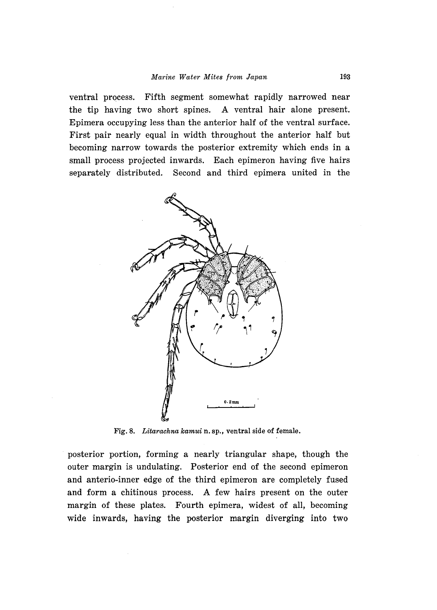ventral process. Fifth segment somewhat rapidly narrowed near the tip having two short spines. A ventral hair alone present. Epimera occupying less than the anterior half of the ventral surface. First pair nearly equal in width throughout the anterior half but becoming narrow towards the posterior extremity which ends in a small process projected inwards. Each epimeron having five hairs separately distributed. Second and third epimera united in the



Fig. 8. *Litarachna kamui* n. sp., ventral side of female.

posterior portion, forming a nearly triangular shape, though the outer margin is undulating. Posterior end of the second epimeron and anterio-inner edge of the third epimeron are completely fused and form a chitinous process. A few hairs present on the outer margin of these plates. Fourth epimera, widest of all, becoming wide inwards, having the posterior margin diverging into two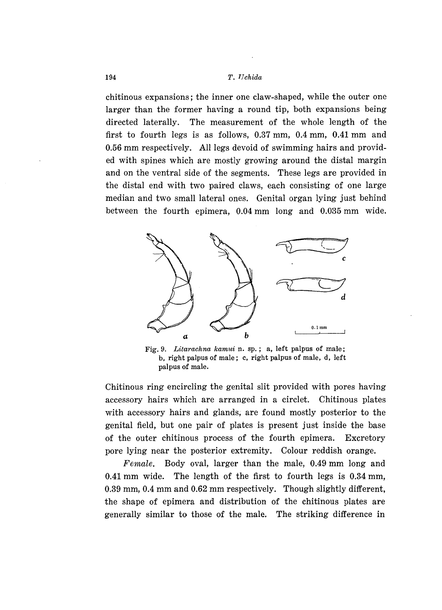#### 194 *T. Tlchida*

chitinous expansions; the inner one claw-shaped, while the outer one larger than the former having a round tip, both expansions being directed laterally. The measurement of the whole length of the first to fourth legs is as follows, 0.37 mm, 0.4 mm, 0.41 mm and 0.56 mm respectively. All legs devoid of swimming hairs and provided with spines which are mostly growing around the distal margin and on the ventral side of the segments. These legs are provided in the distal end with two paired claws, each consisting of one large median and two small lateral ones. Genital organ lying just behind between the fourth epimera, 0.04 mm long and 0.035 mm wide.



Fig. 9. *Litarachna kamui* n. sp.; a, left palpus of male; b, right palpus of male; c, right palpus of male, d, left palpus of male.

Chitinous ring encircling the genital slit provided with pores having accessory hairs which are arranged in a circlet. Chitinous plates with accessory hairs and glands, are found mostly posterior to the genital field, but one pair of plates is present just inside the base of the outer chitinous process of the fourth epimera. Excretory pore lying near the posterior extremity. Colour reddish orange.

*Female.* Body oval, larger than the male, 0.49 mm long and 0.41 mm wide. The length of the first to fourth legs is 0.34 mm, 0.39 mm, 0.4 mm and 0.62 mm respectively. Though slightly different, the shape of epimera and distribution of the chitinous plates are generally similar to those of the male. The striking difference in